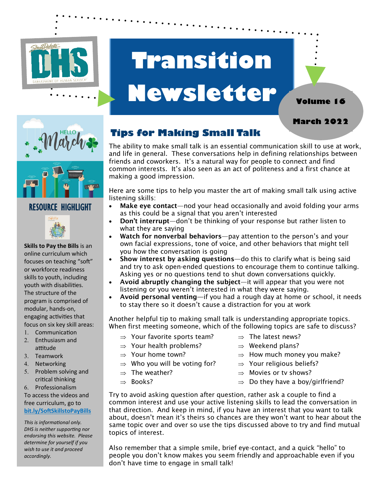

# **Transition Newsletter**



**March 2022**

**Volume 16**



#### RESOURCE HIGHLIGHT



**Skills to Pay the Bills** is an online curriculum which focuses on teaching "soft" or workforce readiness skills to youth, including youth with disabilities. The structure of the program is comprised of modular, hands-on, engaging activities that focus on six key skill areas:

- Communication 2. Enthusiasm and
- attitude
- 3. Teamwork
- 4. Networking
- 5. Problem solving and critical thinking
- Professionalism

To access the videos and free curriculum, go to **bit.ly/SoftSkillstoPayBills** 

*This is informational only. DHS is neither supporting nor endorsing this website. Please determine for yourself if you wish to use it and proceed accordingly.* 

### **Tips for Making Small Talk**

The ability to make small talk is an essential communication skill to use at work, and life in general. These conversations help in defining relationships between friends and coworkers. It's a natural way for people to connect and find common interests. It's also seen as an act of politeness and a first chance at making a good impression.

Here are some tips to help you master the art of making small talk using active listening skills:

- Make eye contact—nod your head occasionally and avoid folding your arms as this could be a signal that you aren't interested
- Don't interrupt-don't be thinking of your response but rather listen to what they are saying
- Watch for nonverbal behaviors—pay attention to the person's and your own facial expressions, tone of voice, and other behaviors that might tell you how the conversation is going
- Show interest by asking questions-do this to clarify what is being said and try to ask open-ended questions to encourage them to continue talking. Asking yes or no questions tend to shut down conversations quickly.
- Avoid abruptly changing the subject—it will appear that you were not listening or you weren't interested in what they were saying.
- Avoid personal venting—if you had a rough day at home or school, it needs to stay there so it doesn't cause a distraction for you at work

Another helpful tip to making small talk is understanding appropriate topics. When first meeting someone, which of the following topics are safe to discuss?

- $\Rightarrow$  Your favorite sports team?
- $\Rightarrow$  Your health problems?
- $\Rightarrow$  Your home town?
- $\Rightarrow$  Who you will be voting for?
- $\Rightarrow$  The weather?
- $\Rightarrow$  Books?
- $\Rightarrow$  The latest news?
- $\Rightarrow$  Weekend plans?
- $\Rightarrow$  How much money you make?
- $\Rightarrow$  Your religious beliefs?
- $\Rightarrow$  Movies or ty shows?
- $\Rightarrow$  Do they have a boy/girlfriend?

Try to avoid asking question after question, rather ask a couple to find a common interest and use your active listening skills to lead the conversation in that direction. And keep in mind, if you have an interest that you want to talk about, doesn't mean it's theirs so chances are they won't want to hear about the same topic over and over so use the tips discussed above to try and find mutual topics of interest.

Also remember that a simple smile, brief eye-contact, and a quick "hello" to people you don't know makes you seem friendly and approachable even if you don't have time to engage in small talk!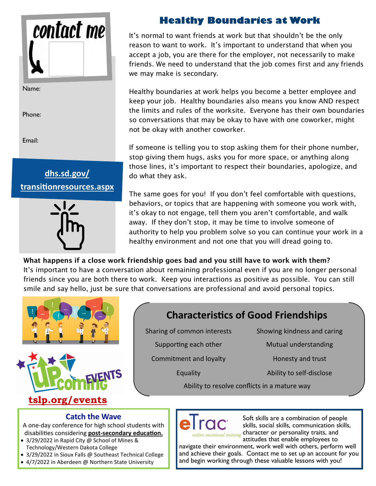

Name:

Phone:

Email:





### **Healthy Boundaries at Work**

It's normal to want friends at work but that shouldn't be the only reason to want to work. It's important to understand that when you accept a job, you are there for the employer, not necessarily to make friends. We need to understand that the job comes first and any friends we may make is secondary.

Healthy boundaries at work helps you become a better employee and keep your job. Healthy boundaries also means you know AND respect the limits and rules of the worksite. Everyone has their own boundaries so conversations that may be okay to have with one coworker, might not be okay with another coworker.

If someone is telling you to stop asking them for their phone number, stop giving them hugs, asks you for more space, or anything along those lines, it's important to respect their boundaries, apologize, and do what they ask.

The same goes for you! If you don't feel comfortable with questions, behaviors, or topics that are happening with someone you work with, it's okay to not engage, tell them you aren't comfortable, and walk away. If they don't stop, it may be time to involve someone of authority to help you problem solve so you can continue your work in a healthy environment and not one that you will dread going to.

What happens if a close work friendship goes bad and you still have to work with them? It's important to have a conversation about remaining professional even if you are no longer personal friends since you are both there to work. Keep you interactions as positive as possible. You can still smile and say hello, just be sure that conversations are professional and avoid personal topics.





## **Characteristics of Good Friendships**

Sharing of common interests Showing kindness and caring

Commitment and loyalty **Example 20 Honesty and trust** 

Supporting each other Mutual understanding

Equality Ability to self-disclose

Ability to resolve conflicts in a mature way

#### **Catch the Wave**

A one-day conference for high school students with disabilities considering **post-secondary education.**

- 3/29/2022 in Rapid City @ School of Mines & Technology/Western Dakota College
- 3/29/2022 in Sioux Falls @ Southeast Technical College
- 4/7/2022 in Aberdeen @ Northern State University



Soft skills are a combination of people skills, social skills, communication skills, online vocational training character or personality traits, and attitudes that enable employees to

navigate their environment, work well with others, perform well and achieve their goals. Contact me to set up an account for you and begin working through these valuable lessons with you!